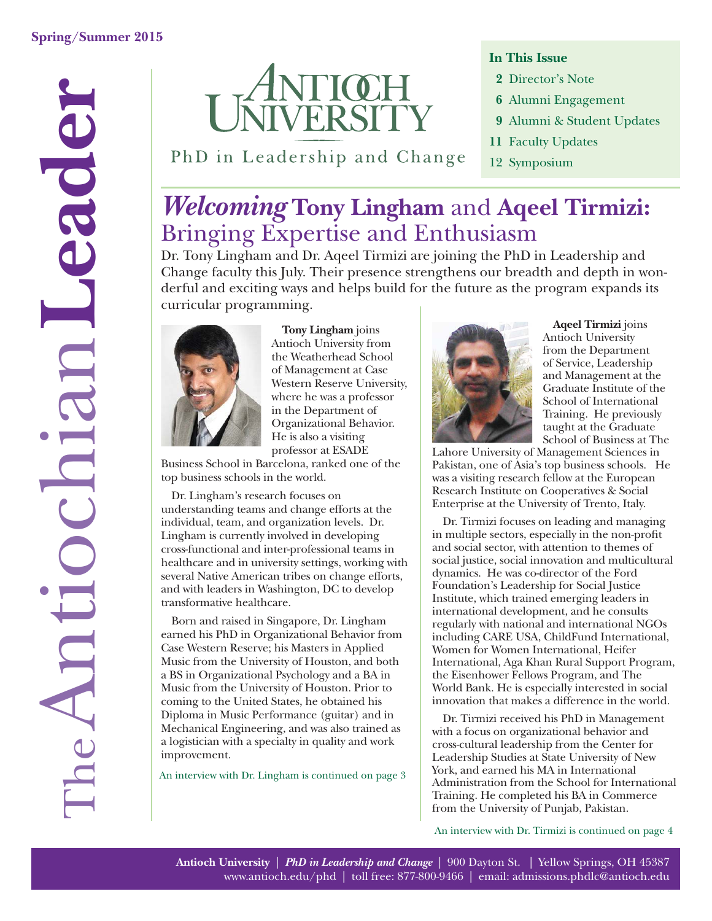

PhD in Leadership and Change

#### **In This Issue**

- **2** Director's Note
- **6** Alumni Engagement
- **9** Alumni & Student Updates
- **11** Faculty Updates
- 12 Symposium

## *Welcoming* **Tony Lingham** and **Aqeel Tirmizi:** Bringing Expertise and Enthusiasm

Dr. Tony Lingham and Dr. Aqeel Tirmizi are joining the PhD in Leadership and Change faculty this July. Their presence strengthens our breadth and depth in wonderful and exciting ways and helps build for the future as the program expands its curricular programming.



**Tony Lingham** joins Antioch University from the Weatherhead School of Management at Case Western Reserve University, where he was a professor in the Department of Organizational Behavior. He is also a visiting professor at ESADE

Business School in Barcelona, ranked one of the top business schools in the world.

Dr. Lingham's research focuses on understanding teams and change efforts at the individual, team, and organization levels. Dr. Lingham is currently involved in developing cross-functional and inter-professional teams in healthcare and in university settings, working with several Native American tribes on change efforts, and with leaders in Washington, DC to develop transformative healthcare.

Born and raised in Singapore, Dr. Lingham earned his PhD in Organizational Behavior from Case Western Reserve; his Masters in Applied Music from the University of Houston, and both a BS in Organizational Psychology and a BA in Music from the University of Houston. Prior to coming to the United States, he obtained his Diploma in Music Performance (guitar) and in Mechanical Engineering, and was also trained as a logistician with a specialty in quality and work improvement.

An interview with Dr. Lingham is continued on page 3



**Aqeel Tirmizi** joins Antioch University from the Department of Service, Leadership and Management at the Graduate Institute of the School of International Training. He previously taught at the Graduate School of Business at The

Lahore University of Management Sciences in Pakistan, one of Asia's top business schools. He was a visiting research fellow at the European Research Institute on Cooperatives & Social Enterprise at the University of Trento, Italy.

Dr. Tirmizi focuses on leading and managing in multiple sectors, especially in the non-profit and social sector, with attention to themes of social justice, social innovation and multicultural dynamics. He was co-director of the Ford Foundation's Leadership for Social Justice Institute, which trained emerging leaders in international development, and he consults regularly with national and international NGOs including CARE USA, ChildFund International, Women for Women International, Heifer International, Aga Khan Rural Support Program, the Eisenhower Fellows Program, and The World Bank. He is especially interested in social innovation that makes a difference in the world.

Dr. Tirmizi received his PhD in Management with a focus on organizational behavior and cross-cultural leadership from the Center for Leadership Studies at State University of New York, and earned his MA in International Administration from the School for International Training. He completed his BA in Commerce from the University of Punjab, Pakistan.

An interview with Dr. Tirmizi is continued on page 4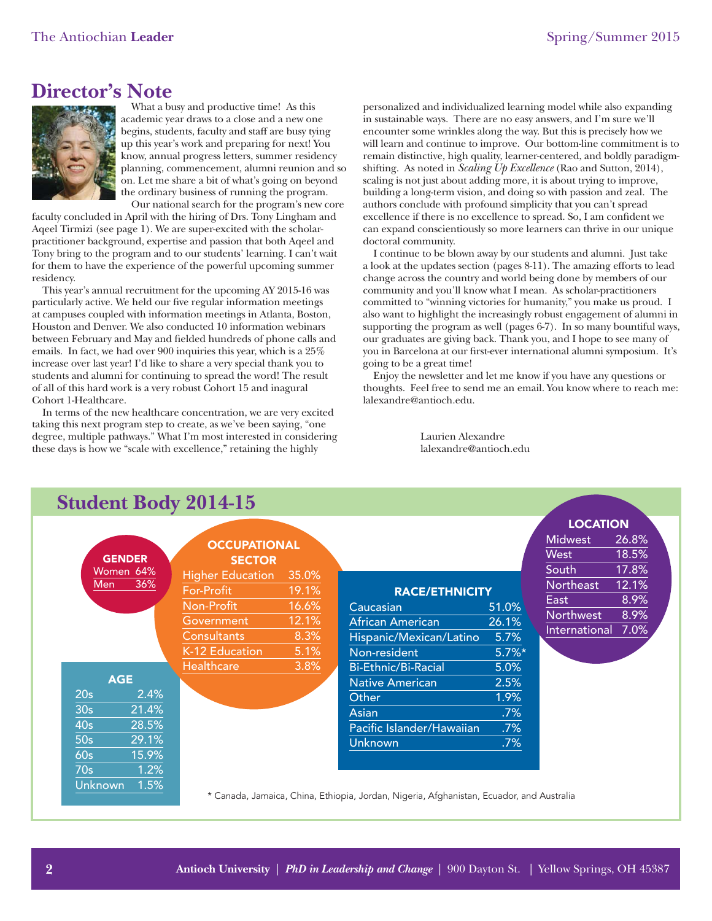### **Director's Note**



What a busy and productive time! As this academic year draws to a close and a new one begins, students, faculty and staff are busy tying up this year's work and preparing for next! You know, annual progress letters, summer residency planning, commencement, alumni reunion and so on. Let me share a bit of what's going on beyond the ordinary business of running the program. Our national search for the program's new core

faculty concluded in April with the hiring of Drs. Tony Lingham and Aqeel Tirmizi (see page 1). We are super-excited with the scholarpractitioner background, expertise and passion that both Aqeel and Tony bring to the program and to our students' learning. I can't wait for them to have the experience of the powerful upcoming summer residency.

This year's annual recruitment for the upcoming AY 2015-16 was particularly active. We held our five regular information meetings at campuses coupled with information meetings in Atlanta, Boston, Houston and Denver. We also conducted 10 information webinars between February and May and fielded hundreds of phone calls and emails. In fact, we had over 900 inquiries this year, which is a 25% increase over last year! I'd like to share a very special thank you to students and alumni for continuing to spread the word! The result of all of this hard work is a very robust Cohort 15 and inagural Cohort 1-Healthcare.

In terms of the new healthcare concentration, we are very excited taking this next program step to create, as we've been saying, "one degree, multiple pathways." What I'm most interested in considering these days is how we "scale with excellence," retaining the highly

personalized and individualized learning model while also expanding in sustainable ways. There are no easy answers, and I'm sure we'll encounter some wrinkles along the way. But this is precisely how we will learn and continue to improve. Our bottom-line commitment is to remain distinctive, high quality, learner-centered, and boldly paradigmshifting. As noted in *Scaling Up Excellence* (Rao and Sutton, 2014), scaling is not just about adding more, it is about trying to improve, building a long-term vision, and doing so with passion and zeal. The authors conclude with profound simplicity that you can't spread excellence if there is no excellence to spread. So, I am confident we can expand conscientiously so more learners can thrive in our unique doctoral community.

I continue to be blown away by our students and alumni. Just take a look at the updates section (pages 8-11). The amazing efforts to lead change across the country and world being done by members of our community and you'll know what I mean. As scholar-practitioners committed to "winning victories for humanity," you make us proud. I also want to highlight the increasingly robust engagement of alumni in supporting the program as well (pages 6-7). In so many bountiful ways, our graduates are giving back. Thank you, and I hope to see many of you in Barcelona at our first-ever international alumni symposium. It's going to be a great time!

Enjoy the newsletter and let me know if you have any questions or thoughts. Feel free to send me an email. You know where to reach me: lalexandre@antioch.edu.

> Laurien Alexandre lalexandre@antioch.edu

| <b>Student Body 2014-15</b> |                 |                  |                                                                                          |       |                           |          |                    |       |  |
|-----------------------------|-----------------|------------------|------------------------------------------------------------------------------------------|-------|---------------------------|----------|--------------------|-------|--|
|                             |                 |                  |                                                                                          |       |                           |          | <b>LOCATION</b>    |       |  |
|                             |                 |                  | <b>OCCUPATIONAL</b>                                                                      |       |                           |          | <b>Midwest</b>     | 26.8% |  |
|                             |                 | <b>GENDER</b>    | <b>SECTOR</b>                                                                            |       |                           |          | <b>West</b>        | 18.5% |  |
|                             |                 | Women 64%<br>36% | <b>Higher Education</b>                                                                  | 35.0% |                           |          | South              | 17.8% |  |
|                             | Men             |                  | For-Profit                                                                               | 19.1% | <b>RACE/ETHNICITY</b>     |          | Northeast          | 12.1% |  |
|                             |                 |                  | Non-Profit                                                                               |       |                           |          | East               | 8.9%  |  |
|                             |                 |                  |                                                                                          | 16.6% | Caucasian                 | 51.0%    | Northwest          | 8.9%  |  |
|                             |                 |                  | Government                                                                               | 12.1% | <b>African American</b>   | 26.1%    | International 7.0% |       |  |
|                             |                 |                  | <b>Consultants</b>                                                                       | 8.3%  | Hispanic/Mexican/Latino   | 5.7%     |                    |       |  |
|                             |                 |                  | K-12 Education                                                                           | 5.1%  | Non-resident              | $5.7\%*$ |                    |       |  |
|                             |                 |                  | <b>Healthcare</b>                                                                        | 3.8%  | Bi-Ethnic/Bi-Racial       | 5.0%     |                    |       |  |
|                             |                 | <b>AGE</b>       |                                                                                          |       | <b>Native American</b>    | 2.5%     |                    |       |  |
|                             | 20s             | 2.4%             |                                                                                          |       | Other                     | 1.9%     |                    |       |  |
|                             | 30 <sub>s</sub> | 21.4%            |                                                                                          |       | <b>Asian</b>              | .7%      |                    |       |  |
|                             | 40 <sub>s</sub> | 28.5%            |                                                                                          |       | Pacific Islander/Hawaiian | .7%      |                    |       |  |
|                             | 50s             | 29.1%            |                                                                                          |       | <b>Unknown</b>            | $.7\%$   |                    |       |  |
|                             | 60s             | 15.9%            |                                                                                          |       |                           |          |                    |       |  |
|                             | 70s             | 1.2%             |                                                                                          |       |                           |          |                    |       |  |
|                             | Unknown         | 1.5%             |                                                                                          |       |                           |          |                    |       |  |
|                             |                 |                  | * Canada, Jamaica, China, Ethiopia, Jordan, Nigeria, Afghanistan, Ecuador, and Australia |       |                           |          |                    |       |  |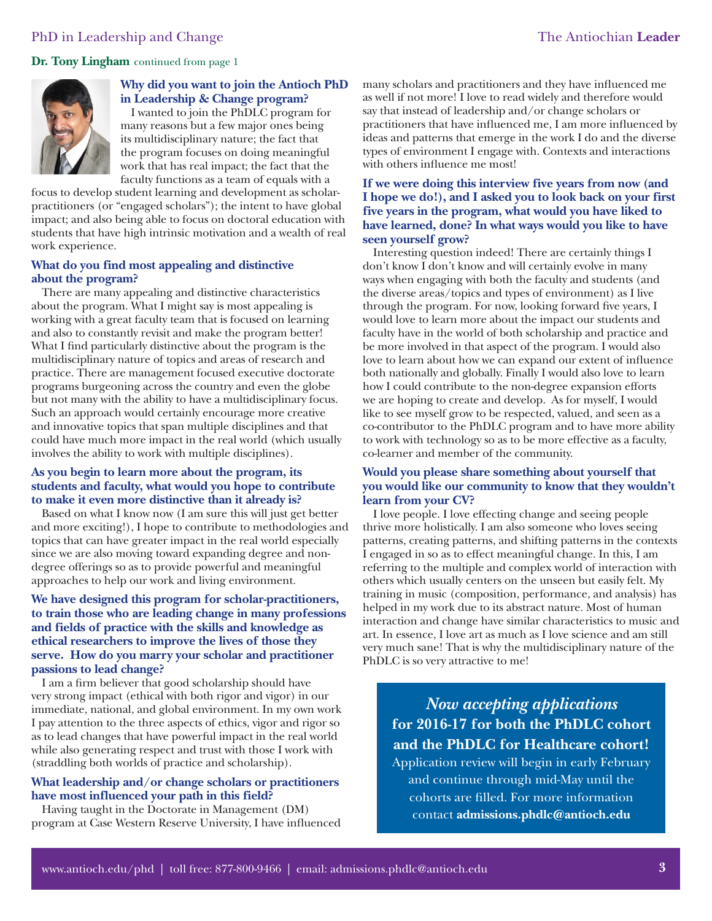**Dr. Tony Lingham** continued from page 1



#### **Why did you want to join the Antioch PhD in Leadership & Change program?**

I wanted to join the PhDLC program for many reasons but a few major ones being its multidisciplinary nature; the fact that the program focuses on doing meaningful work that has real impact; the fact that the faculty functions as a team of equals with a

focus to develop student learning and development as scholarpractitioners (or "engaged scholars"); the intent to have global impact; and also being able to focus on doctoral education with students that have high intrinsic motivation and a wealth of real work experience.

#### **What do you find most appealing and distinctive about the program?**

There are many appealing and distinctive characteristics about the program. What I might say is most appealing is working with a great faculty team that is focused on learning and also to constantly revisit and make the program better! What I find particularly distinctive about the program is the multidisciplinary nature of topics and areas of research and practice. There are management focused executive doctorate programs burgeoning across the country and even the globe but not many with the ability to have a multidisciplinary focus. Such an approach would certainly encourage more creative and innovative topics that span multiple disciplines and that could have much more impact in the real world (which usually involves the ability to work with multiple disciplines).

#### **As you begin to learn more about the program, its students and faculty, what would you hope to contribute to make it even more distinctive than it already is?**

Based on what I know now (I am sure this will just get better and more exciting!), I hope to contribute to methodologies and topics that can have greater impact in the real world especially since we are also moving toward expanding degree and nondegree offerings so as to provide powerful and meaningful approaches to help our work and living environment.

#### **We have designed this program for scholar-practitioners, to train those who are leading change in many professions and fields of practice with the skills and knowledge as ethical researchers to improve the lives of those they serve. How do you marry your scholar and practitioner passions to lead change?**

I am a firm believer that good scholarship should have very strong impact (ethical with both rigor and vigor) in our immediate, national, and global environment. In my own work I pay attention to the three aspects of ethics, vigor and rigor so as to lead changes that have powerful impact in the real world while also generating respect and trust with those I work with (straddling both worlds of practice and scholarship).

#### **What leadership and/or change scholars or practitioners have most influenced your path in this field?**

Having taught in the Doctorate in Management (DM) program at Case Western Reserve University, I have influenced many scholars and practitioners and they have influenced me as well if not more! I love to read widely and therefore would say that instead of leadership and/or change scholars or practitioners that have influenced me, I am more influenced by ideas and patterns that emerge in the work I do and the diverse types of environment I engage with. Contexts and interactions with others influence me most!

#### **If we were doing this interview five years from now (and I hope we do!), and I asked you to look back on your first five years in the program, what would you have liked to have learned, done? In what ways would you like to have seen yourself grow?**

Interesting question indeed! There are certainly things I don't know I don't know and will certainly evolve in many ways when engaging with both the faculty and students (and the diverse areas/topics and types of environment) as I live through the program. For now, looking forward five years, I would love to learn more about the impact our students and faculty have in the world of both scholarship and practice and be more involved in that aspect of the program. I would also love to learn about how we can expand our extent of influence both nationally and globally. Finally I would also love to learn how I could contribute to the non-degree expansion efforts we are hoping to create and develop. As for myself, I would like to see myself grow to be respected, valued, and seen as a co-contributor to the PhDLC program and to have more ability to work with technology so as to be more effective as a faculty, co-learner and member of the community.

#### **Would you please share something about yourself that you would like our community to know that they wouldn't learn from your CV?**

I love people. I love effecting change and seeing people thrive more holistically. I am also someone who loves seeing patterns, creating patterns, and shifting patterns in the contexts I engaged in so as to effect meaningful change. In this, I am referring to the multiple and complex world of interaction with others which usually centers on the unseen but easily felt. My training in music (composition, performance, and analysis) has helped in my work due to its abstract nature. Most of human interaction and change have similar characteristics to music and art. In essence, I love art as much as I love science and am still very much sane! That is why the multidisciplinary nature of the PhDLC is so very attractive to me!

*Now accepting applications*  **for 2016-17 for both the PhDLC cohort and the PhDLC for Healthcare cohort!**

Application review will begin in early February and continue through mid-May until the cohorts are filled. For more information contact **admissions.phdlc@antioch.edu**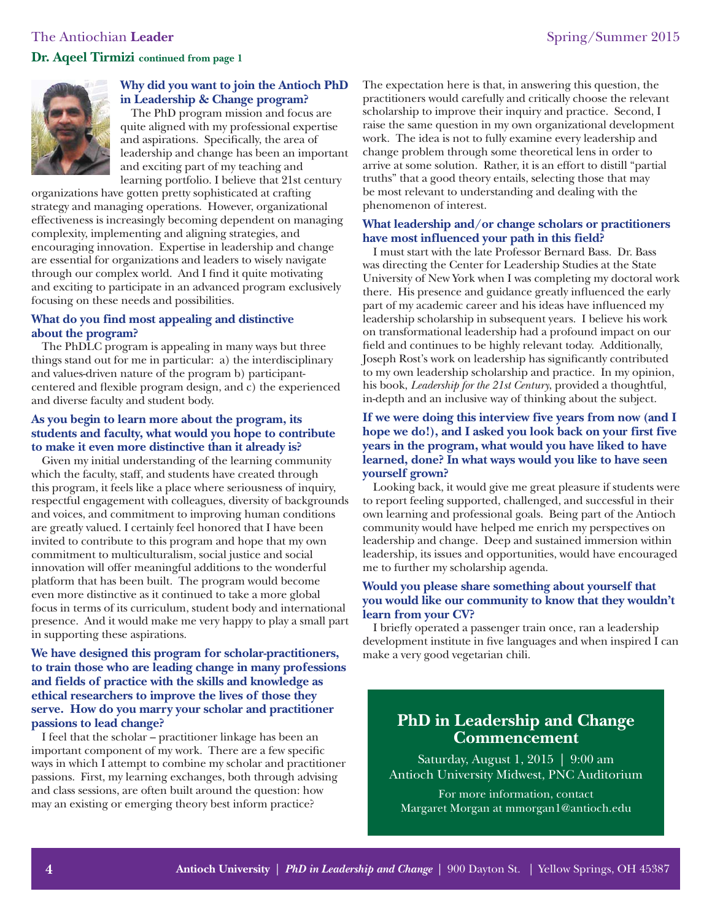### The Antiochian Leader Spring/Summer 2015 **Dr. Aqeel Tirmizi continued from page 1**



#### **Why did you want to join the Antioch PhD in Leadership & Change program?**

The PhD program mission and focus are quite aligned with my professional expertise and aspirations. Specifically, the area of leadership and change has been an important and exciting part of my teaching and learning portfolio. I believe that 21st century

organizations have gotten pretty sophisticated at crafting strategy and managing operations. However, organizational effectiveness is increasingly becoming dependent on managing complexity, implementing and aligning strategies, and encouraging innovation. Expertise in leadership and change are essential for organizations and leaders to wisely navigate through our complex world. And I find it quite motivating and exciting to participate in an advanced program exclusively focusing on these needs and possibilities.

#### **What do you find most appealing and distinctive about the program?**

The PhDLC program is appealing in many ways but three things stand out for me in particular: a) the interdisciplinary and values-driven nature of the program b) participantcentered and flexible program design, and c) the experienced and diverse faculty and student body.

#### **As you begin to learn more about the program, its students and faculty, what would you hope to contribute to make it even more distinctive than it already is?**

Given my initial understanding of the learning community which the faculty, staff, and students have created through this program, it feels like a place where seriousness of inquiry, respectful engagement with colleagues, diversity of backgrounds and voices, and commitment to improving human conditions are greatly valued. I certainly feel honored that I have been invited to contribute to this program and hope that my own commitment to multiculturalism, social justice and social innovation will offer meaningful additions to the wonderful platform that has been built. The program would become even more distinctive as it continued to take a more global focus in terms of its curriculum, student body and international presence. And it would make me very happy to play a small part in supporting these aspirations.

#### **We have designed this program for scholar-practitioners, to train those who are leading change in many professions and fields of practice with the skills and knowledge as ethical researchers to improve the lives of those they serve. How do you marry your scholar and practitioner passions to lead change?**

I feel that the scholar – practitioner linkage has been an important component of my work. There are a few specific ways in which I attempt to combine my scholar and practitioner passions. First, my learning exchanges, both through advising and class sessions, are often built around the question: how may an existing or emerging theory best inform practice?

The expectation here is that, in answering this question, the practitioners would carefully and critically choose the relevant scholarship to improve their inquiry and practice. Second, I raise the same question in my own organizational development work. The idea is not to fully examine every leadership and change problem through some theoretical lens in order to arrive at some solution. Rather, it is an effort to distill "partial truths" that a good theory entails, selecting those that may be most relevant to understanding and dealing with the phenomenon of interest.

#### **What leadership and/or change scholars or practitioners have most influenced your path in this field?**

I must start with the late Professor Bernard Bass. Dr. Bass was directing the Center for Leadership Studies at the State University of New York when I was completing my doctoral work there. His presence and guidance greatly influenced the early part of my academic career and his ideas have influenced my leadership scholarship in subsequent years. I believe his work on transformational leadership had a profound impact on our field and continues to be highly relevant today. Additionally, Joseph Rost's work on leadership has significantly contributed to my own leadership scholarship and practice. In my opinion, his book, *Leadership for the 21st Century*, provided a thoughtful, in-depth and an inclusive way of thinking about the subject.

#### **If we were doing this interview five years from now (and I hope we do!), and I asked you look back on your first five years in the program, what would you have liked to have learned, done? In what ways would you like to have seen yourself grown?**

Looking back, it would give me great pleasure if students were to report feeling supported, challenged, and successful in their own learning and professional goals. Being part of the Antioch community would have helped me enrich my perspectives on leadership and change. Deep and sustained immersion within leadership, its issues and opportunities, would have encouraged me to further my scholarship agenda.

#### **Would you please share something about yourself that you would like our community to know that they wouldn't learn from your CV?**

I briefly operated a passenger train once, ran a leadership development institute in five languages and when inspired I can make a very good vegetarian chili.

### **PhD in Leadership and Change Commencement**

Saturday, August 1, 2015 | 9:00 am Antioch University Midwest, PNC Auditorium

For more information, contact Margaret Morgan at mmorgan1@antioch.edu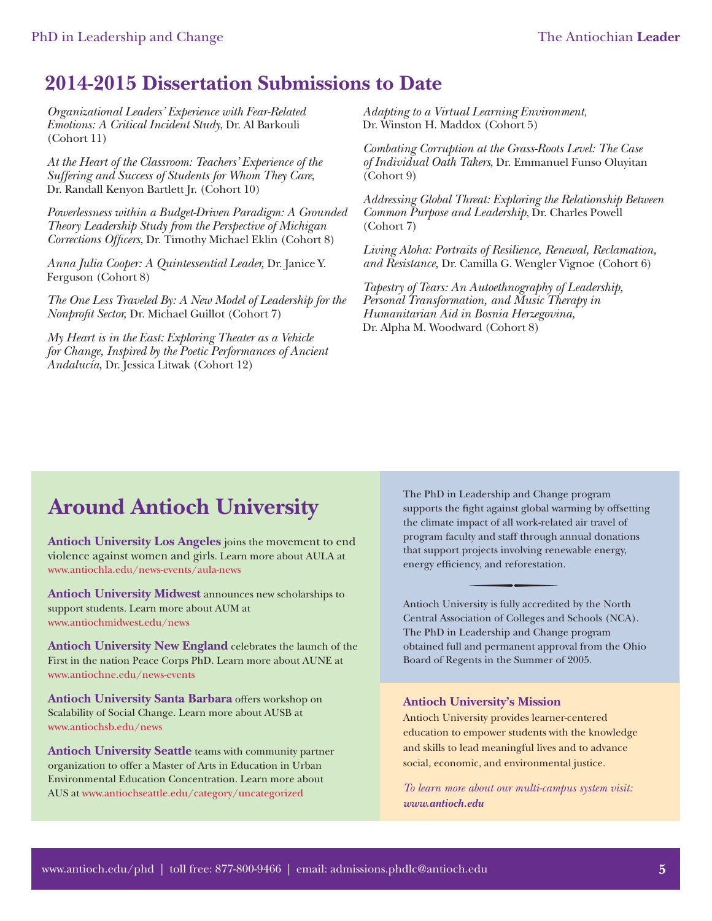### **2014-2015 Dissertation Submissions to Date**

*Organizational Leaders' Experience with Fear-Related Emotions: A Critical Incident Study*, Dr. Al Barkouli (Cohort 11)

*At the Heart of the Classroom: Teachers' Experience of the Suffering and Success of Students for Whom They Care*, Dr. Randall Kenyon Bartlett Jr. (Cohort 10)

*Powerlessness within a Budget-Driven Paradigm: A Grounded Theory Leadership Study from the Perspective of Michigan Corrections Officers*, Dr. Timothy Michael Eklin (Cohort 8)

*Anna Julia Cooper: A Quintessential Leader,* Dr. Janice Y. Ferguson (Cohort 8)

*The One Less Traveled By: A New Model of Leadership for the Nonprofi t Sector,* Dr. Michael Guillot (Cohort 7)

*My Heart is in the East: Exploring Theater as a Vehicle for Change, Inspired by the Poetic Performances of Ancient Andalucía,* Dr. Jessica Litwak (Cohort 12)

*Adapting to a Virtual Learning Environment,* Dr. Winston H. Maddox (Cohort 5)

*Combating Corruption at the Grass-Roots Level: The Case of Individual Oath Takers*, Dr. Emmanuel Funso Oluyitan (Cohort 9)

*Addressing Global Threat: Exploring the Relationship Between Common Purpose and Leadership*, Dr. Charles Powell (Cohort 7)

*Living Aloha: Portraits of Resilience, Renewal, Reclamation, and Resistance,* Dr. Camilla G. Wengler Vignoe (Cohort 6)

*Tapestry of Tears: An Autoethnography of Leadership, Personal Transformation, and Music Therapy in Humanitarian Aid in Bosnia Herzegovina,* Dr. Alpha M. Woodward (Cohort 8)

## **Around Antioch University**

**Antioch University Los Angeles** joins the movement to end violence against women and girls. Learn more about AULA at <www.antiochla.edu/news-events/aula-news>

**Antioch University Midwest** announces new scholarships to support students. Learn more about AUM at <www.antiochmidwest.edu/news>

**Antioch University New England** celebrates the launch of the First in the nation Peace Corps PhD. Learn more about AUNE at <www.antiochne.edu/news-events>

**Antioch University Santa Barbara** offers workshop on Scalability of Social Change. Learn more about AUSB at <www.antiochsb.edu/news>

**Antioch University Seattle** teams with community partner organization to offer a Master of Arts in Education in Urban Environmental Education Concentration. Learn more about AUS at<www.antiochseattle.edu/category/uncategorized>

The PhD in Leadership and Change program supports the fight against global warming by offsetting the climate impact of all work-related air travel of program faculty and staff through annual donations that support projects involving renewable energy, energy efficiency, and reforestation.

Antioch University is fully accredited by the North Central Association of Colleges and Schools (NCA). The PhD in Leadership and Change program obtained full and permanent approval from the Ohio Board of Regents in the Summer of 2005.

#### **Antioch University's Mission**

Antioch University provides learner-centered education to empower students with the knowledge and skills to lead meaningful lives and to advance social, economic, and environmental justice.

*To learn more about our multi-campus system visit: <www.antioch.edu>*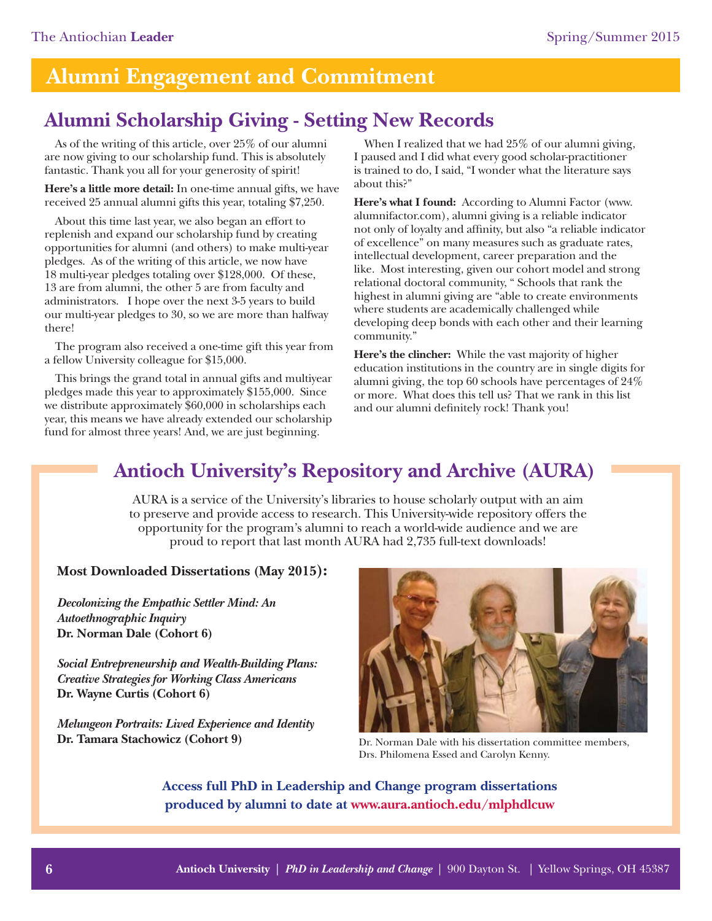## **Alumni Engagement and Commitment**

## **Alumni Scholarship Giving - Setting New Records**

As of the writing of this article, over 25% of our alumni are now giving to our scholarship fund. This is absolutely fantastic. Thank you all for your generosity of spirit!

**Here's a little more detail:** In one-time annual gifts, we have received 25 annual alumni gifts this year, totaling \$7,250.

About this time last year, we also began an effort to replenish and expand our scholarship fund by creating opportunities for alumni (and others) to make multi-year pledges. As of the writing of this article, we now have 18 multi-year pledges totaling over \$128,000. Of these, 13 are from alumni, the other 5 are from faculty and administrators. I hope over the next 3-5 years to build our multi-year pledges to 30, so we are more than halfway there!

The program also received a one-time gift this year from a fellow University colleague for \$15,000.

This brings the grand total in annual gifts and multiyear pledges made this year to approximately \$155,000. Since we distribute approximately \$60,000 in scholarships each year, this means we have already extended our scholarship fund for almost three years! And, we are just beginning.

When I realized that we had 25% of our alumni giving, I paused and I did what every good scholar-practitioner is trained to do, I said, "I wonder what the literature says about this?"

**Here's what I found:** According to Alumni Factor (www. alumnifactor.com), alumni giving is a reliable indicator not only of loyalty and affinity, but also "a reliable indicator of excellence" on many measures such as graduate rates, intellectual development, career preparation and the like. Most interesting, given our cohort model and strong relational doctoral community, " Schools that rank the highest in alumni giving are "able to create environments where students are academically challenged while developing deep bonds with each other and their learning community."

**Here's the clincher:** While the vast majority of higher education institutions in the country are in single digits for alumni giving, the top 60 schools have percentages of 24% or more. What does this tell us? That we rank in this list and our alumni definitely rock! Thank you!

## **Antioch University's Repository and Archive (AURA)**

AURA is a service of the University's libraries to house scholarly output with an aim to preserve and provide access to research. This University-wide repository offers the opportunity for the program's alumni to reach a world-wide audience and we are proud to report that last month AURA had 2,735 full-text downloads!

#### **Most Downloaded Dissertations (May 2015):**

*[Decolonizing the Empathic Settler Mind: An](http://aura.antioch.edu/cgi/viewcontent.cgi?article=1158&context=etds)  Autoethnographic Inquiry* **Dr. Norman Dale (Cohort 6)**

*[Social Entrepreneurship and Wealth-Building Plans:](http://aura.antioch.edu/cgi/viewcontent.cgi?article=1026&context=etds)  Creative Strategies for Working Class Americans* **Dr. Wayne Curtis (Cohort 6)**

*[Melungeon Portraits: Lived Experience and Identity](http://aura.antioch.edu/cgi/viewcontent.cgi?article=1064&context=etds)* **[Dr. Tamara Stachowicz \(C](http://www.davenport.edu/faculty-directory/tstachowicz)ohort 9)** Dr. Norman Dale with his dissertation committee members,



Drs. Philomena Essed and Carolyn Kenny.

**Access full PhD in Leadership and Change program dissertations produced by alumni to date at [www.aura.antioch.edu/mlphdlcuw](https://etd.ohiolink.edu/ap/6?0::NO:6:P6_INSTID,P6_ETD_INST_DEPTID:2,1137)**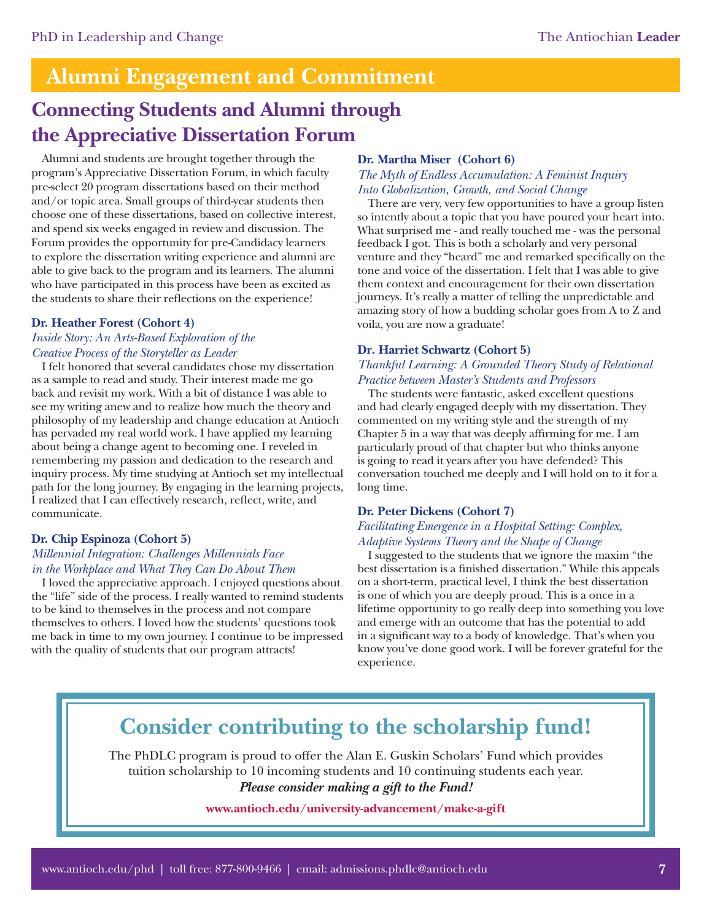## **Alumni Engagement and Commitment**

## **Connecting Students and Alumni through the Appreciative Dissertation Forum**

Alumni and students are brought together through the program's Appreciative Dissertation Forum, in which faculty pre-select 20 program dissertations based on their method and/or topic area. Small groups of third-year students then choose one of these dissertations, based on collective interest, and spend six weeks engaged in review and discussion. The Forum provides the opportunity for pre-Candidacy learners to explore the dissertation writing experience and alumni are able to give back to the program and its learners. The alumni who have participated in this process have been as excited as the students to share their reflections on the experience!

#### **Dr. Heather Forest (Cohort 4)**

#### *Inside Story: An Arts-Based Exploration of the Creative Process of the Storyteller as Leader*

I felt honored that several candidates chose my dissertation as a sample to read and study. Their interest made me go back and revisit my work. With a bit of distance I was able to see my writing anew and to realize how much the theory and philosophy of my leadership and change education at Antioch has pervaded my real world work. I have applied my learning about being a change agent to becoming one. I reveled in remembering my passion and dedication to the research and inquiry process. My time studying at Antioch set my intellectual path for the long journey. By engaging in the learning projects, I realized that I can effectively research, reflect, write, and communicate.

#### **Dr. Chip Espinoza (Cohort 5)**

#### *Millennial Integration: Challenges Millennials Face in the Workplace and What They Can Do About Them*

I loved the appreciative approach. I enjoyed questions about the "life" side of the process. I really wanted to remind students to be kind to themselves in the process and not compare themselves to others. I loved how the students' questions took me back in time to my own journey. I continue to be impressed with the quality of students that our program attracts!

#### **Dr. Martha Miser (Cohort 6)**

#### *The Myth of Endless Accumulation: A Feminist Inquiry Into Globalization, Growth, and Social Change*

There are very, very few opportunities to have a group listen so intently about a topic that you have poured your heart into. What surprised me - and really touched me - was the personal feedback I got. This is both a scholarly and very personal venture and they "heard" me and remarked specifically on the tone and voice of the dissertation. I felt that I was able to give them context and encouragement for their own dissertation journeys. It's really a matter of telling the unpredictable and amazing story of how a budding scholar goes from A to Z and voila, you are now a graduate!

#### **Dr. Harriet Schwartz (Cohort 5)**

#### *Thankful Learning: A Grounded Theory Study of Relational Practice between Master's Students and Professors*

The students were fantastic, asked excellent questions and had clearly engaged deeply with my dissertation. They commented on my writing style and the strength of my Chapter 5 in a way that was deeply affirming for me. I am particularly proud of that chapter but who thinks anyone is going to read it years after you have defended? This conversation touched me deeply and I will hold on to it for a long time.

#### **Dr. Peter Dickens (Cohort 7)**

#### *Facilitating Emergence in a Hospital Setting: Complex, Adaptive Systems Theory and the Shape of Change*

I suggested to the students that we ignore the maxim "the best dissertation is a finished dissertation." While this appeals on a short-term, practical level, I think the best dissertation is one of which you are deeply proud. This is a once in a lifetime opportunity to go really deep into something you love and emerge with an outcome that has the potential to add in a significant way to a body of knowledge. That's when you know you've done good work. I will be forever grateful for the experience.

## **Consider contributing to the scholarship fund!**

The PhDLC program is proud to offer the Alan E. Guskin Scholars' Fund which provides tuition scholarship to 10 incoming students and 10 continuing students each year. *Please consider making a gift to the Fund!*

#### **[www.antioch.edu/university-advancement/make-a-gift](http://www.antioch.edu/university-advancement/make-a-gift/)**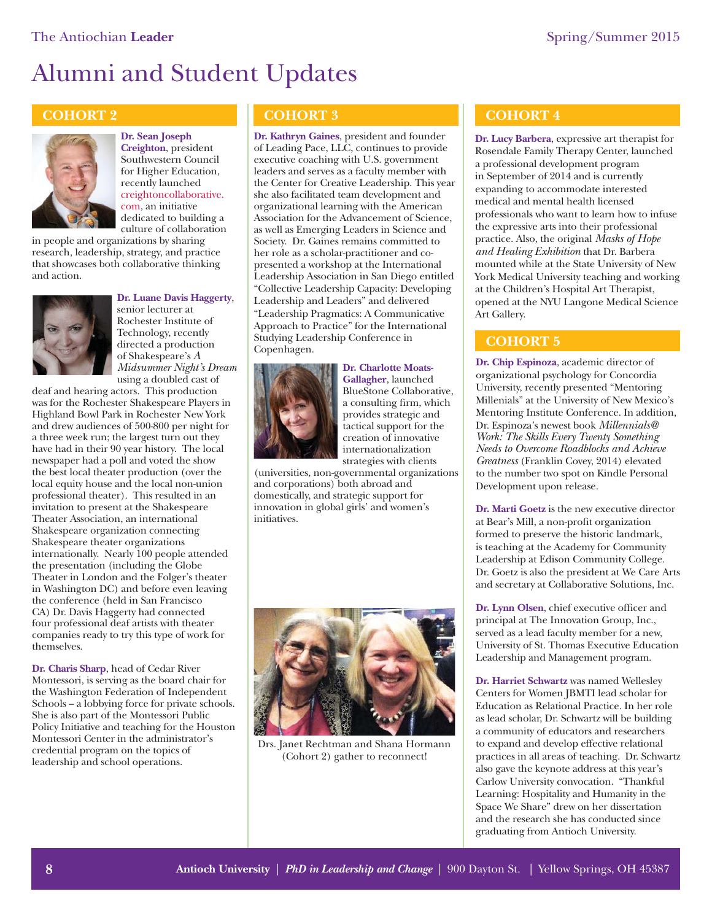# Alumni and Student Updates

#### **COHORT 2**



**Dr. Sean Joseph Creighton**, president Southwestern Council for Higher Education, recently launched [creightoncollaborative.](www.creightoncollaborative.com) com, an initiative dedicated to building a culture of collaboration

in people and organizations by sharing research, leadership, strategy, and practice that showcases both collaborative thinking and action.



#### **Dr. Luane Davis Haggerty**,

senior lecturer at Rochester Institute of Technology, recently directed a production of Shakespeare's *A Midsummer Night's Dream* using a doubled cast of

deaf and hearing actors. This production was for the Rochester Shakespeare Players in Highland Bowl Park in Rochester New York and drew audiences of 500-800 per night for a three week run; the largest turn out they have had in their 90 year history. The local newspaper had a poll and voted the show the best local theater production (over the local equity house and the local non-union professional theater). This resulted in an invitation to present at the Shakespeare Theater Association, an international Shakespeare organization connecting Shakespeare theater organizations internationally. Nearly 100 people attended the presentation (including the Globe Theater in London and the Folger's theater in Washington DC) and before even leaving the conference (held in San Francisco CA) Dr. Davis Haggerty had connected four professional deaf artists with theater companies ready to try this type of work for themselves.

**Dr. Charis Sharp**, head of Cedar River Montessori, is serving as the board chair for the Washington Federation of Independent Schools – a lobbying force for private schools. She is also part of the Montessori Public Policy Initiative and teaching for the Houston Montessori Center in the administrator's credential program on the topics of leadership and school operations.

#### **COHORT 3**

**Dr. Kathryn Gaines**, president and founder of Leading Pace, LLC, continues to provide executive coaching with U.S. government leaders and serves as a faculty member with the Center for Creative Leadership. This year she also facilitated team development and organizational learning with the American Association for the Advancement of Science, as well as Emerging Leaders in Science and Society. Dr. Gaines remains committed to her role as a scholar-practitioner and copresented a workshop at the International Leadership Association in San Diego entitled "Collective Leadership Capacity: Developing Leadership and Leaders" and delivered "Leadership Pragmatics: A Communicative Approach to Practice" for the International Studying Leadership Conference in Copenhagen.



**Dr. Charlotte Moats-Gallagher**, launched BlueStone Collaborative, a consulting firm, which provides strategic and tactical support for the creation of innovative internationalization strategies with clients

(universities, non-governmental organizations and corporations) both abroad and domestically, and strategic support for innovation in global girls' and women's initiatives.



Drs. Janet Rechtman and Shana Hormann (Cohort 2) gather to reconnect!

#### **COHORT 4**

**Dr. Lucy Barbera**, expressive art therapist for Rosendale Family Therapy Center, launched a professional development program in September of 2014 and is currently expanding to accommodate interested medical and mental health licensed professionals who want to learn how to infuse the expressive arts into their professional practice. Also, the original *Masks of Hope and Healing Exhibition* that Dr. Barbera mounted while at the State University of New York Medical University teaching and working at the Children's Hospital Art Therapist, opened at the NYU Langone Medical Science Art Gallery.

#### **COHORT 5**

**Dr. Chip Espinoza**, academic director of organizational psychology for Concordia University, recently presented "Mentoring Millenials" at the University of New Mexico's Mentoring Institute Conference. In addition, Dr. Espinoza's newest book *Millennials@ Work: The Skills Every Twenty Something Needs to Overcome Roadblocks and Achieve Greatness* (Franklin Covey, 2014) elevated to the number two spot on Kindle Personal Development upon release.

**Dr. Marti Goetz** is the new executive director at Bear's Mill, a non-profit organization formed to preserve the historic landmark, is teaching at the Academy for Community Leadership at Edison Community College. Dr. Goetz is also the president at We Care Arts and secretary at Collaborative Solutions, Inc.

**Dr. Lynn Olsen**, chief executive officer and principal at The Innovation Group, Inc., served as a lead faculty member for a new, University of St. Thomas Executive Education Leadership and Management program.

**Dr. Harriet Schwartz** was named Wellesley Centers for Women JBMTI lead scholar for Education as Relational Practice. In her role as lead scholar, Dr. Schwartz will be building a community of educators and researchers to expand and develop effective relational practices in all areas of teaching. Dr. Schwartz also gave the keynote address at this year's Carlow University convocation. "Thankful Learning: Hospitality and Humanity in the Space We Share" drew on her dissertation and the research she has conducted since graduating from Antioch University.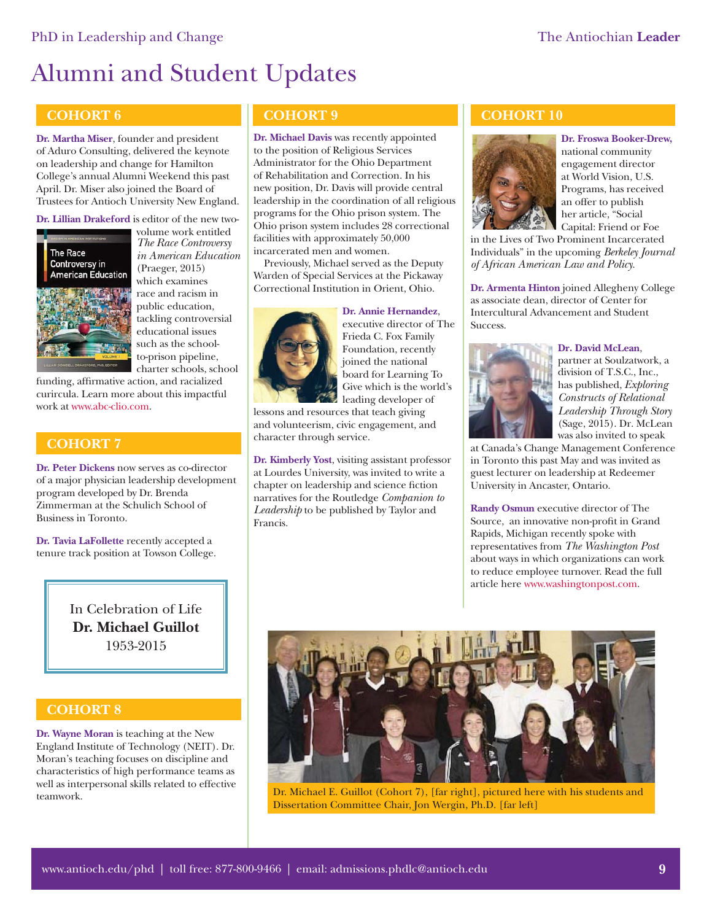## Alumni and Student Updates

#### **COHORT 6**

**Dr. Martha Miser**, founder and president of Aduro Consulting, delivered the keynote on leadership and change for Hamilton College's annual Alumni Weekend this past April. Dr. Miser also joined the Board of Trustees for Antioch University New England.

**Dr. Lillian Drakeford** is editor of the new two-



volume work entitled *The Race Controversy in American Education* (Praeger, 2015) which examines race and racism in public education, tackling controversial educational issues such as the schoolto-prison pipeline, charter schools, school

funding, affirmative action, and racialized curircula. Learn more about this impactful work [at www.abc-clio.com.](http://www.abc-clio.com/ABC-CLIOCorporate/product.aspx?pc=A4430C)

#### **COHORT 7**

**Dr. Peter Dickens** now serves as co-director of a major physician leadership development program developed by Dr. Brenda Zimmerman at the Schulich School of Business in Toronto.

**Dr. Tavia LaFollette** recently accepted a tenure track position at Towson College.

> In Celebration of Life **Dr. Michael Guillot** 1953-2015

#### **COHORT 8**

**Dr. Wayne Moran** is teaching at the New England Institute of Technology (NEIT). Dr. Moran's teaching focuses on discipline and characteristics of high performance teams as well as interpersonal skills related to effective teamwork.

#### **COHORT 9**

**Dr. Michael Davis** was recently appointed to the position of Religious Services Administrator for the Ohio Department of Rehabilitation and Correction. In his new position, Dr. Davis will provide central leadership in the coordination of all religious programs for the Ohio prison system. The Ohio prison system includes 28 correctional facilities with approximately 50,000 incarcerated men and women.

Previously, Michael served as the Deputy Warden of Special Services at the Pickaway Correctional Institution in Orient, Ohio.



**Dr. Annie Hernandez**, executive director of The Frieda C. Fox Family Foundation, recently joined the national board for Learning To Give which is the world's leading developer of

lessons and resources that teach giving and volunteerism, civic engagement, and character through service.

**Dr. Kimberly Yost**, visiting assistant professor at Lourdes University, was invited to write a chapter on leadership and science fiction narratives for the Routledge *Companion to Leadership* to be published by Taylor and Francis.

#### **COHORT 10**



**Dr. Froswa Booker-Drew,** national community engagement director at World Vision, U.S. Programs, has received an offer to publish her article, "Social Capital: Friend or Foe

in the Lives of Two Prominent Incarcerated Individuals" in the upcoming *Berkeley Journal of African American Law and Policy*.

**Dr. Armenta Hinton** joined Allegheny College as associate dean, director of Center for Intercultural Advancement and Student Success.



#### **Dr. David McLean**,

partner at Soulzatwork, a division of T.S.C., Inc., has published, *Exploring Constructs of Relational Leadership Through Story* (Sage, 2015). Dr. McLean was also invited to speak

at Canada's Change Management Conference in Toronto this past May and was invited as guest lecturer on leadership at Redeemer University in Ancaster, Ontario.

**Randy Osmun** executive director of The Source, an innovative non-profit in Grand Rapids, Michigan recently spoke with representatives from *The Washington Post* about ways in which organizations can work to reduce employee turnover. Read the full article her[e www.washingtonpost.com.](http://www.washingtonpost.com/opinions/catherine-rampell-a-business-nonprofit-partnership-remedy-for-high-turnover/2014/10/09/7505d0f4-4ff3-11e4-babe-e91da079cb8a_story.html)



Dr. Michael E. Guillot (Cohort 7), [far right], pictured here with his students and Dissertation Committee Chair, Jon Wergin, Ph.D. [far left]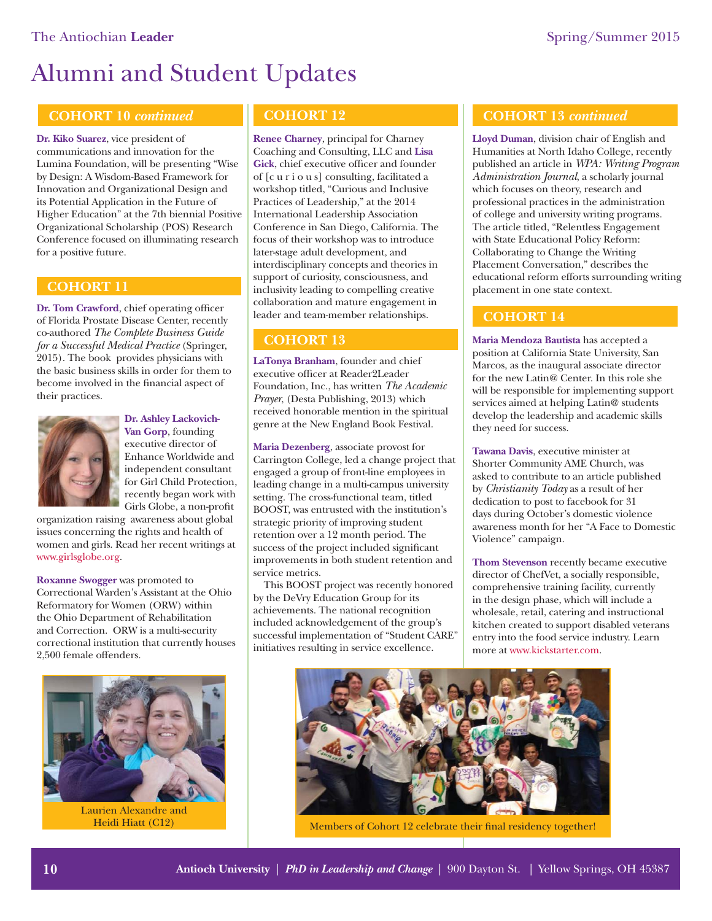# Alumni and Student Updates

#### **COHORT 10** *continued*

**Dr. Kiko Suarez**, vice president of communications and innovation for the Lumina Foundation, will be presenting "Wise by Design: A Wisdom-Based Framework for Innovation and Organizational Design and its Potential Application in the Future of Higher Education" at the 7th biennial Positive Organizational Scholarship (POS) Research Conference focused on illuminating research for a positive future.

#### **COHORT 11**

**Dr. Tom Crawford**, chief operating officer of Florida Prostate Disease Center, recently co-authored *The Complete Business Guide for a Successful Medical Practice* (Springer, 2015). The book provides physicians with the basic business skills in order for them to become involved in the financial aspect of their practices.



**Dr. Ashley Lackovich-Van Gorp**, founding executive director of Enhance Worldwide and independent consultant for Girl Child Protection, recently began work with Girls Globe, a non-profit

organization raising awareness about global issues concerning the rights and health of women and girls. Read her recent writings at [www.girlsglobe.org.](http://girlsglobe.org/author/anlackovich/)

**Roxanne Swogger** was promoted to Correctional Warden's Assistant at the Ohio Reformatory for Women (ORW) within the Ohio Department of Rehabilitation and Correction. ORW is a multi-security correctional institution that currently houses 2,500 female offenders.



Laurien Alexandre and Heidi Hiatt (C12)

#### **COHORT 12**

**Renee Charney**, principal for Charney Coaching and Consulting, LLC and **Lisa Gick**, chief executive officer and founder of [c u r i o u s] consulting, facilitated a workshop titled, "Curious and Inclusive Practices of Leadership," at the 2014 International Leadership Association Conference in San Diego, California. The focus of their workshop was to introduce later-stage adult development, and interdisciplinary concepts and theories in support of curiosity, consciousness, and inclusivity leading to compelling creative collaboration and mature engagement in leader and team-member relationships.

**LaTonya Branham**, founder and chief executive officer at Reader2Leader Foundation, Inc., has written *The Academic Prayer*, (Desta Publishing, 2013) which received honorable mention in the spiritual genre at the New England Book Festival.

**Maria Dezenberg**, associate provost for Carrington College, led a change project that engaged a group of front-line employees in leading change in a multi-campus university setting. The cross-functional team, titled BOOST, was entrusted with the institution's strategic priority of improving student retention over a 12 month period. The success of the project included significant improvements in both student retention and service metrics.

This BOOST project was recently honored by the DeVry Education Group for its achievements. The national recognition included acknowledgement of the group's successful implementation of "Student CARE" initiatives resulting in service excellence.

#### **COHORT 13** *continued*

**Lloyd Duman**, division chair of English and Humanities at North Idaho College, recently published an article in *WPA: Writing Program Administration Journal*, a scholarly journal which focuses on theory, research and professional practices in the administration of college and university writing programs. The article titled, "Relentless Engagement with State Educational Policy Reform: Collaborating to Change the Writing Placement Conversation," describes the educational reform efforts surrounding writing placement in one state context.

#### **COHORT 14**

**COHORT 13 Maria Mendoza Bautista** has accepted a position at California State University, San Marcos, as the inaugural associate director for the new Latin@ Center. In this role she will be responsible for implementing support services aimed at helping Latin@ students develop the leadership and academic skills they need for success.

> **Tawana Davis**, executive minister at Shorter Community AME Church, was asked to contribute to an article published by *Christianity Today* as a result of her dedication to post to facebook for 31 days during October's domestic violence awareness month for her "A Face to Domestic Violence" campaign.

**Thom Stevenson** recently became executive director of ChefVet, a socially responsible, comprehensive training facility, currently in the design phase, which will include a wholesale, retail, catering and instructional kitchen created to support disabled veterans entry into the food service industry. Learn more at [www.kickstarter.com.](https://www.kickstarter.com/projects/582000534/cheesecakes-with-honor)



Members of Cohort 12 celebrate their final residency together!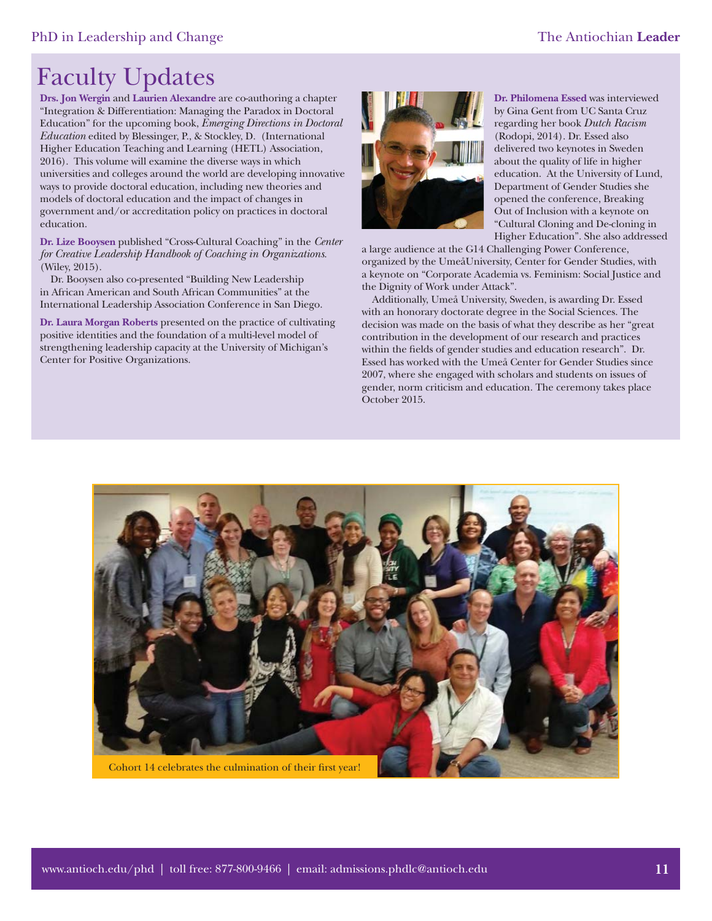## Faculty Updates

**Drs. Jon Wergin** and **Laurien Alexandre** are co-authoring a chapter "Integration & Differentiation: Managing the Paradox in Doctoral Education" for the upcoming book, *Emerging Directions in Doctoral Education* edited by Blessinger, P., & Stockley, D. (International Higher Education Teaching and Learning (HETL) Association, 2016). This volume will examine the diverse ways in which universities and colleges around the world are developing innovative ways to provide doctoral education, including new theories and models of doctoral education and the impact of changes in government and/or accreditation policy on practices in doctoral education.

**Dr. Lize Booysen** published "Cross-Cultural Coaching" in the *Center for Creative Leadership Handbook of Coaching in Organizations*. (Wiley, 2015).

Dr. Booysen also co-presented "Building New Leadership in African American and South African Communities" at the International Leadership Association Conference in San Diego.

**Dr. Laura Morgan Roberts** presented on the practice of cultivating positive identities and the foundation of a multi-level model of strengthening leadership capacity at the University of Michigan's Center for Positive Organizations.



**Dr. Philomena Essed** was interviewed by Gina Gent from UC Santa Cruz regarding her book *Dutch Racism*  (Rodopi, 2014). Dr. Essed also delivered two keynotes in Sweden about the quality of life in higher education. At the University of Lund, Department of Gender Studies she opened the conference, Breaking Out of Inclusion with a keynote on "Cultural Cloning and De-cloning in Higher Education". She also addressed

a large audience at the G14 Challenging Power Conference, organized by the UmeåUniversity, Center for Gender Studies, with a keynote on "Corporate Academia vs. Feminism: Social Justice and the Dignity of Work under Attack".

Additionally, Umeå University, Sweden, is awarding Dr. Essed with an honorary doctorate degree in the Social Sciences. The decision was made on the basis of what they describe as her "great contribution in the development of our research and practices within the fields of gender studies and education research". Dr. Essed has worked with the Umeå Center for Gender Studies since 2007, where she engaged with scholars and students on issues of gender, norm criticism and education. The ceremony takes place October 2015.